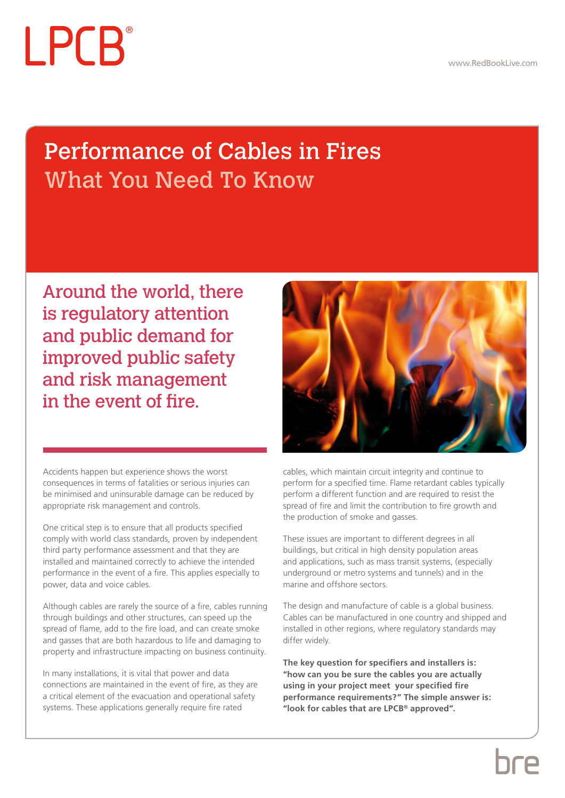# LPCB

## Performance of Cables in Fires What You Need To Know

Around the world, there is regulatory attention and public demand for improved public safety and risk management in the event of fire.

Accidents happen but experience shows the worst consequences in terms of fatalities or serious injuries can be minimised and uninsurable damage can be reduced by appropriate risk management and controls.

One critical step is to ensure that all products specified comply with world class standards, proven by independent third party performance assessment and that they are installed and maintained correctly to achieve the intended performance in the event of a fire. This applies especially to power, data and voice cables.

Although cables are rarely the source of a fire, cables running through buildings and other structures, can speed up the spread of flame, add to the fire load, and can create smoke and gasses that are both hazardous to life and damaging to property and infrastructure impacting on business continuity.

In many installations, it is vital that power and data connections are maintained in the event of fire, as they are a critical element of the evacuation and operational safety systems. These applications generally require fire rated



cables, which maintain circuit integrity and continue to perform for a specified time. Flame retardant cables typically perform a different function and are required to resist the spread of fire and limit the contribution to fire growth and the production of smoke and gasses.

These issues are important to different degrees in all buildings, but critical in high density population areas and applications, such as mass transit systems, (especially underground or metro systems and tunnels) and in the marine and offshore sectors.

The design and manufacture of cable is a global business. Cables can be manufactured in one country and shipped and installed in other regions, where regulatory standards may differ widely.

**The key question for specifiers and installers is: "how can you be sure the cables you are actually using in your project meet your specified fire performance requirements?" The simple answer is: "look for cables that are LPCB® approved".**